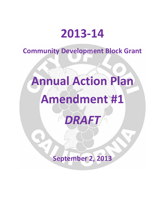# **2013‐14**

**Community Development Block Grant**

# **Annual Action Plan Amendment #1**

*DRAFT*

**September 2, 2013**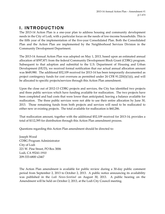# **I. INTRODUCTION**

The 2013-14 Action Plan is a one-year plan to address housing and community development needs in the City of Lodi, with a particular focus on the needs of low‐income households. This is the fifth year of the implementation of the five‐year Consolidated Plan. Both the Consolidated Plan and the Action Plan are implemented by the Neighborhood Services Division in the Community Development Department.

The 2013‐14 Annual Action Plan was adopted on May 1, 2013, based upon an estimated annual allocation of \$597,871 from the federal Community Development Block Grant (CDBG) program. Subsequent to that adoption and submittal to the U.S. Department of Housing and Urban Development (HUD), we received formal notification that our actual annual allocation amount was \$649,980. The additional \$52,109 received for 2013-14 has been temporarily documented as project contingency funds for cost overruns as permitted under  $24$  CFR  $91.220(1)(1)(i)$ , and will be allocated to specific projects/services through this Action Plan amendment.

Upon the close out of 2012‐13 CDBG projects and services, the City has identified two projects and three public services which have funding available for reallocation. The two projects have been completed and had costs that were lower than anticipated, leaving a balance available for reallocation. The three public services were not able to use their entire allocation by June 30, 2013. Those remaining funds from both projects and services will need to be reallocated to either new or existing projects. The total available for reallocation is \$60,286.

That reallocation amount, together with the additional \$52,109 received for 2013‐14, provides a total of \$112,395 for distribution through this Action Plan amendment process.

Questions regarding this Action Plan amendment should be directed to:

Joseph Wood CDBG Program Administrator City of Lodi 221 W. Pine Street, PO Box 3006 Lodi, CA 95241‐1910 209‐333‐6800 x2467

The Action Plan amendment is available for public review during a 30‐day public comment period from September 2, 2013 to October 2, 2013. A public notice announcing its availability was published in the *Lodi News‐Sentinel* on August 30, 2013. A public hearing on the Amendment will be held on October 2, 2013, at the Lodi City Council meeting.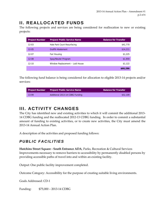# **II. REALLOCATED FUNDS**

The following projects and services are being considered for reallocation to new or existing projects:

| <b>Project Number</b> | <b>Project/Public Service Name</b> | <b>Balance for Transfer</b> |
|-----------------------|------------------------------------|-----------------------------|
| $12 - 03$             | Hale Park Court Resurfacing        | \$41,770                    |
| $12 - 05$             | Graffiti Abatement                 | \$14,211                    |
| 12-07                 | Fair Housing                       | \$1,225                     |
| $12 - 08$             | Spay/Neuter Program                | \$1,959                     |
| $12 - 10$             | Window Replacement - Lodi House    | \$1,122                     |
|                       |                                    | \$60,286                    |

The following fund balance is being considered for allocation to eligible 2013‐14 projects and/or services:

| <b>Project Number</b> | <b>Project/Public Service Name</b> | <b>Balance for Transfer</b> |
|-----------------------|------------------------------------|-----------------------------|
| $13-99$               | Additional 2013-14 CDBG Funding    | \$52,109                    |

# **III. ACTIVITY CHANGES**

The City has identified new and existing activities to which it will commit the additional 2013-14 CDBG funding and the reallocated 2012‐13 CDBG funding. In order to commit a substantial amount of funding to existing activities, or to create new activities, the City must amend the 2013‐14 Annual Action Plan.

A description of the activities and proposed funding follows:

# *PUBLIC FACILITIES*

**Hutchins Street Square ‐ South Entrance ADA**, Parks, Recreation & Cultural Services Improvements necessary to remove barriers to accessibility by permanently disabled persons by providing accessible paths of travel into and within an existing facility.

Output: One public facility improvement completed.

Outcome Category: Accessibility for the purpose of creating suitable living environments.

Goals Addressed: CD‐1

Funding: \$75,000 – 2013‐14 CDBG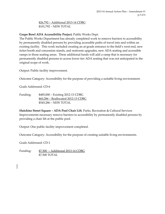\$26,792 – Additional 2013‐14 CDBG \$101,792 – NEW TOTAL

**Grape Bowl ADA Accessibility Project**, Public Works Dept.

The Public Works Department has already completed work to remove barriers to accessibility by permanently disabled persons by providing accessible paths of travel into and within an existing facility. This work included creating an at-grade entrance to the field's west end, new ticket booth and concession stands, and restroom upgrades, new ADA seating and accessible ramps to those seating areas. These additional funds will add a ramp that is necessary for permanently disabled persons to access lower tier ADA seating that was not anticipated in the original scope of work.

Output: Public facility improvement.

Outcome Category: Accessibility for the purpose of providing a suitable living environment.

Goals Addressed: CD‐6

Funding: \$485,000 – Existing 2012‐13 CDBG \$60,286 – Reallocated 2012‐13 CDBG  \$545,286 – NEW TOTAL

**Hutchins Street Square – ADA Pool Chair Lift**, Parks, Recreation & Cultural Services Improvements necessary remove barriers to accessibility by permanently disabled persons by providing a chair lift at the public pool.

Output: One public facility improvement completed.

Outcome Category: Accessibility for the purpose of creating suitable living environments.

Goals Addressed: CD‐1

Funding: \$7,500 – Additional 2013‐14 CDBG \$7,500 TOTAL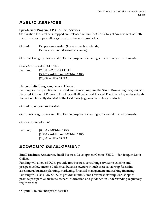# *PUBLIC SERVICES*

#### **Spay/Neuter Program**, LPD ‐ Animal Services

Sterilization for Feral cats trapped and released within the CDBG Target Area, as well as both friendly cats and pit‐bull dogs from low income households.

Output: 150 persons assisted (low‐income households) 150 cats neutered (low‐income areas)

Outcome Category: Accessibility for the purpose of creating suitable living environments.

Goals Addressed: CD‐1, CD‐3 Funding: \$20,000 – 2013‐14 CDBG \$5,997 – Additional 2013‐14 CDBG \$25,997 – NEW TOTAL

#### **Hunger Relief Programs**, Second Harvest

Funding for the operation of the Food Assistance Program, the Senior Brown Bag Program, and the Food 4 Thought Program. Funding will allow Second Harvest Food Bank to purchase foods that are not typically donated to the food bank (e.g., meat and dairy products).

Output: 6,943 persons assisted.

Outcome Category: Accessibility for the purpose of creating suitable living environments.

Goals Addressed: CD‐3

Funding: \$8,180 – 2013‐14 CDBG \$1,820 – Additional 2013‐14 CDBG \$10,000 – NEW TOTAL

# *ECONOMIC DEVELOPMENT*

**Small Business Assistance**, Small Business Development Center (SBDC) – San Joaquin Delta College

Funding will allow SBDC to provide free business consulting services to existing and prospective low‐income Lodi small business owners in such areas as start up feasibility assessment, business planning, marketing, financial management and seeking financing. Funding will also allow SBDC to provide monthly small business start up workshops to provide prospective business owners information and guidance on understanding regulatory requirements.

Output: 10 micro‐enterprises assisted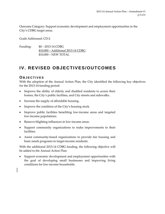Outcome Category: Support economic development and employment opportunities in the City's CDBG target areas.

Goals Addressed: CD‐2

Funding: \$0 – 2013‐14 CDBG \$10,000 – Additional 2013‐14 CDBG \$10,000 – NEW TOTAL

# **IV. REVISED OBJECTIVES/OUTCOMES**

### **OBJECTIVES**

With the adoption of the Annual Action Plan, the City identified the following key objectives for the 2013‐14 funding period:

- Improve the ability of elderly and disabled residents to access their homes, the City's public facilities, and City streets and sidewalks.
- Increase the supply of affordable housing.
- Improve the condition of the City's housing stock.
- Improve public facilities benefiting low-income areas and targeted low‐income populations.
- Remove blighting influences in low-income areas.
- Support community organizations to make improvements to their facilities.
- Assist community-based organizations to provide fair housing and basic needs programs to target‐income residents.

With the additional 2013-14 CDBG funding, the following objective will be added to the Annual Action Plan:

Support economic development and employment opportunities with the goal of developing small businesses and improving living conditions for low‐income households.